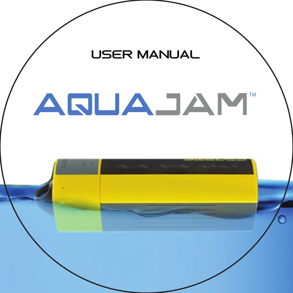

# ARUAJAM TM

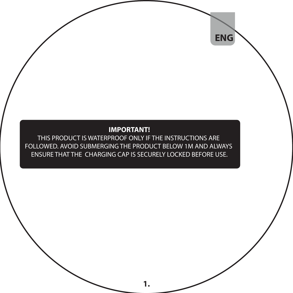#### **IMPORTANT!**

 **ENG**

THIS PRODUCT IS WATERPROOF ONLY IF THE INSTRUCTIONS ARE FOLLOWED. AVOID SUBMERGING THE PRODUCT BELOW 1M AND ALWAYS ENSURE THAT THE CHARGING CAP IS SECURELY LOCKED BEFORE USE.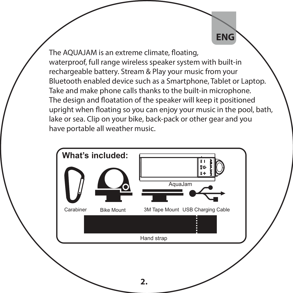The AOUAJAM is an extreme climate, floating, waterproof, full range wireless speaker system with built-in rechargeable battery. Stream & Play your music from your Bluetooth enabled device such as a Smartphone, Tablet or Laptop. Take and make phone calls thanks to the built-in microphone. The design and floatation of the speaker will keep it positioned upright when floating so you can enjoy your music in the pool, bath, lake or sea. Clip on your bike, back-pack or other gear and you have portable all weather music.

 **ENG**

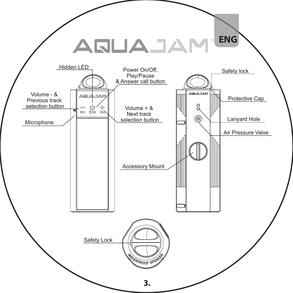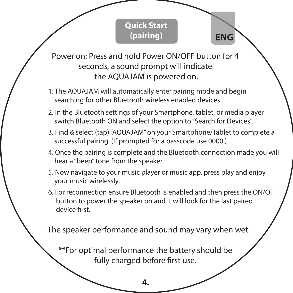# **Quick Start (pairing)**

 **ENG**

Power on: Press and hold Power ON/OFF button for 4 seconds, a sound prompt will indicate the AQUAJAM is powered on.

- 1. The AQUAJAM will automatically enter pairing mode and begin searching for other Bluetooth wireless enabled devices.
- 2. In the Bluetooth settings of your Smartphone, tablet, or media player switch Bluetooth ON and select the option to "Search for Devices".
- 3. Find & select (tap) "AQUAJAM" on your Smartphone/Tablet to complete a successful pairing. (If prompted for a passcode use 0000.)
- 4. Once the pairing is complete and the Bluetooth connection made you will hear a "beep" tone from the speaker.
- 5. Now navigate to your music player or music app, press play and enjoy your music wirelessly.
- 6. For reconnection ensure Bluetooth is enabled and then press the ON/OF button to power the speaker on and it will look for the last paired device first.

The speaker performance and sound may vary when wet.

\*\*For optimal performance the battery should be fully charged before first use.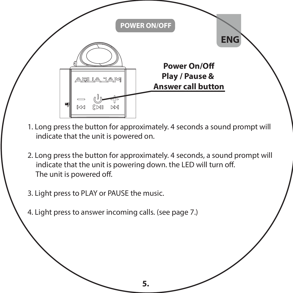

- 1. Long press the button for approximately. 4 seconds a sound prompt will indicate that the unit is powered on.
- 2. Long press the button for approximately. 4 seconds, a sound prompt will indicate that the unit is powering down, the LED will turn off. The unit is powered off.

**5.**

3. Light press to PLAY or PAUSE the music.

4. Light press to answer incoming calls. (see page 7.)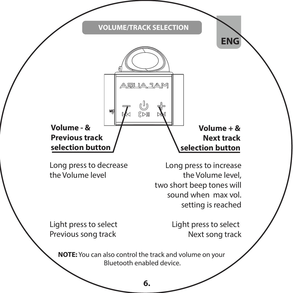#### **VOLUME/TRACK SELECTION**



Long press to decrease the Volume level

Long press to increase the Volume level, two short beep tones will sound when max vol. setting is reached

Light press to select Previous song track

Light press to select Next song track

**NOTE:** You can also control the track and volume on your Bluetooth enabled device.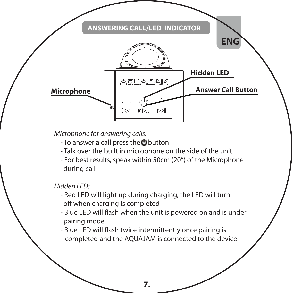

*Microphone for answering calls:*

- To answer a call press the **b**utton
- Talk over the built in microphone on the side of the unit
- For best results, speak within 50cm (20") of the Microphone during call

*Hidden LED:*

- Red LED will light up during charging, the LED will turn off when charging is completed
- Blue LED will flash when the unit is powered on and is under pairing mode
- Blue LED will flash twice intermittently once pairing is completed and the AQUAJAM is connected to the device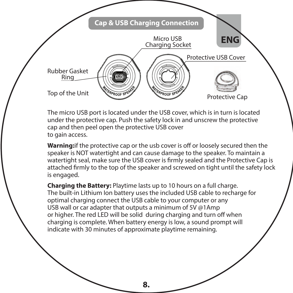

The micro USB port is located under the USB cover, which is in turn is located under the protective cap. Push the safety lock in and unscrew the protective cap and then peel open the protective USB cover to gain access.

**Warning:** if the protective cap or the usb cover is off or loosely secured then the speaker is NOT watertight and can cause damage to the speaker. To maintain a watertight seal, make sure the USB cover is firmly sealed and the Protective Cap is attached firmly to the top of the speaker and screwed on tight until the safety lock is engaged.

**Charging the Battery:** Playtime lasts up to 10 hours on a full charge. The built-in Lithium Ion battery uses the included USB cable to recharge for optimal charging connect the USB cable to your computer or any USB wall or car adapter that outputs a minimum of 5V @1Amp or higher. The red LED will be solid during charging and turn off when charging is complete. When battery energy is low, a sound prompt will indicate with 30 minutes of approximate playtime remaining.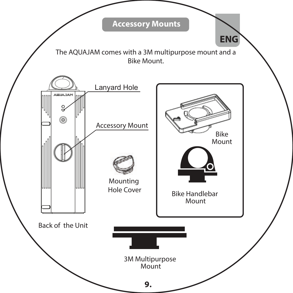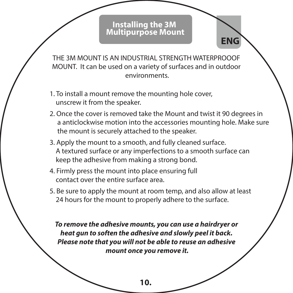# **Installing the 3M Multipurpose Mount**

 **ENG**

THE 3M MOUNT IS AN INDUSTRIAL STRENGTH WATERPROODE MOUNT. It can be used on a variety of surfaces and in outdoor environments.

- 1. To install a mount remove the mounting hole cover, unscrew it from the speaker.
- 2. Once the cover is removed take the Mount and twist it 90 degrees in a anticlockwise motion into the accessories mounting hole. Make sure the mount is securely attached to the speaker.
- 3. Apply the mount to a smooth, and fully cleaned surface. A textured surface or any imperfections to a smooth surface can keep the adhesive from making a strong bond.
- 4. Firmly press the mount into place ensuring full contact over the entire surface area.
- 5. Be sure to apply the mount at room temp, and also allow at least 24 hours for the mount to properly adhere to the surface.

*To remove the adhesive mounts, you can use a hairdryer or heat gun to soften the adhesive and slowly peel it back. Please note that you will not be able to reuse an adhesive mount once you remove it.*

**<sup>10.</sup>**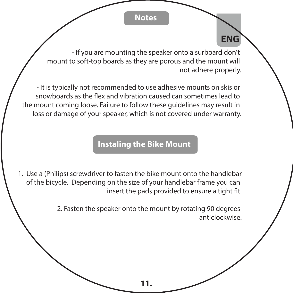# **Notes**

 **ENG**

- If you are mounting the speaker onto a surboard don't mount to soft-top boards as they are porous and the mount will not adhere properly.

- It is typically not recommended to use adhesive mounts on skis or snowboards as the ex and vibration caused can sometimes lead to the mount coming loose. Failure to follow these guidelines may result in loss or damage of your speaker, which is not covered under warranty.

# **Instaling the Bike Mount**

1. Use a (Philips) screwdriver to fasten the bike mount onto the handlebar of the bicycle. Depending on the size of your handlebar frame you can insert the pads provided to ensure a tight fit.

> 2. Fasten the speaker onto the mount by rotating 90 degrees anticlockwise.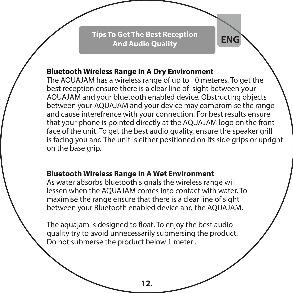**Microphone Tips To Get The Best Reception And Audio Quality ENG**

#### **Bluetooth Wireless Range In A Dry Environment**

The AQUAJAM has a wireless range of up to 10 meteres. To get the best reception ensure there is a clear line of sight between your AQUAJAM and your bluetooth enabled device. Obstructing objects between your AQUAJAM and your device may compromise the range and cause interefrence with your connection. For best results ensure that your phone is pointed directly at the AQUAJAM logo on the front face of the unit. To get the best audio quality, ensure the speaker grill is facing you and The unit is either positioned on its side grips or upright on the base grip.

#### **Bluetooth Wireless Range In A Wet Environment**

As water absorbs bluetooth signals the wireless range will lessen when the AQUAJAM comes into contact with water. To maximise the range ensure that there is a clear line of sight between your Bluetooth enabled device and the AQUAJAM.

The aquajam is designed to float. To enjoy the best audio quality try to avoid unnecessarily submersing the product. Do not submerse the product below 1 meter .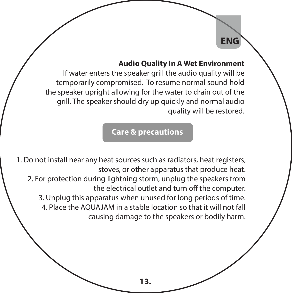#### **Audio Quality In A Wet Environment**

 **ENG**

If water enters the speaker grill the audio quality will be temporarily compromised. To resume normal sound hold the speaker upright allowing for the water to drain out of the grill. The speaker should dry up quickly and normal audio quality will be restored.

#### **Care & precautions**

1. Do not install near any heat sources such as radiators, heat registers, stoves, or other apparatus that produce heat. 2. For protection during lightning storm, unplug the speakers from the electrical outlet and turn off the computer. 3. Unplug this apparatus when unused for long periods of time. 4. Place the AQUAJAM in a stable location so that it will not fall causing damage to the speakers or bodily harm.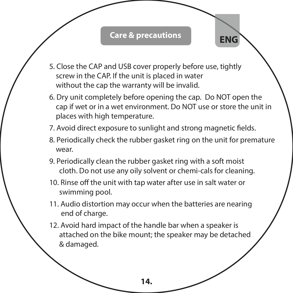# **Care & precautions ENG**

- 5. Close the CAP and USB cover properly before use, tightly screw in the CAP. If the unit is placed in water without the cap the warranty will be invalid.
- 6. Dry unit completely before opening the cap. Do NOT open the cap if wet or in a wet environment. Do NOT use or store the unit in places with high temperature.
- 7. Avoid direct exposure to sunlight and strong magnetic fields.
- 8. Periodically check the rubber gasket ring on the unit for premature wear.
- 9. Periodically clean the rubber gasket ring with a soft moist cloth. Do not use any oily solvent or chemi-cals for cleaning.
- 10. Rinse off the unit with tap water after use in salt water or swimming pool.
- 11. Audio distortion may occur when the batteries are nearing end of charge.
- 12. Avoid hard impact of the handle bar when a speaker is attached on the bike mount; the speaker may be detached & damaged.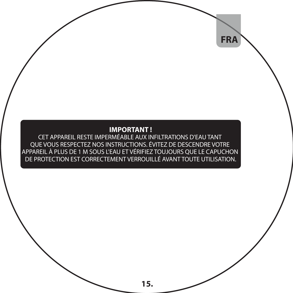#### **IMPORTANT !**

 **FRA**

CET APPAREIL RESTE IMPERMÉABLE AUX INFILTRATIONS D'EAU TANT QUE VOUS RESPECTEZ NOS INSTRUCTIONS. ÉVITEZ DE DESCENDRE VOTRE APPAREIL À PLUS DE 1 M SOUS L'EAU ET VÉRIFIEZ TOUJOURS QUE LE CAPUCHON DE PROTECTION EST CORRECTEMENT VERROUILLÉ AVANT TOUTE UTILISATION.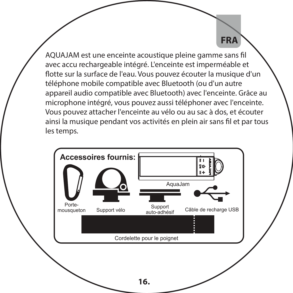AQUAJAM est une enceinte acoustique pleine gamme sans fil avec accu rechargeable intégré. L'enceinte est imperméable et flotte sur la surface de l'eau. Vous pouvez écouter la musique d'un téléphone mobile compatible avec Bluetooth (ou d'un autre appareil audio compatible avec Bluetooth) avec l'enceinte. Grâce au microphone intégré, vous pouvez aussi téléphoner avec l'enceinte. Vous pouvez attacher l'enceinte au vélo ou au sac à dos, et écouter ainsi la musique pendant vos activités en plein air sans fil et par tous les temps.

 **FRA**

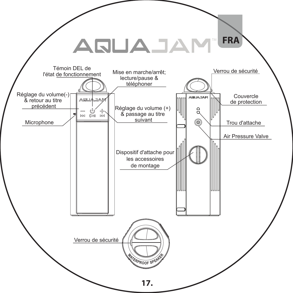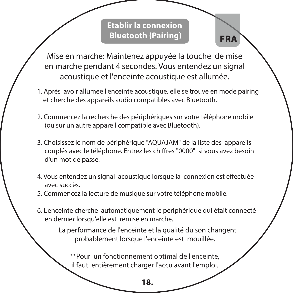**Etablir la connexion Bluetooth (Pairing)**

 **FRA**

Mise en marche: Maintenez appuyée la touche de mise en marche pendant 4 secondes. Vous entendez un signal acoustique et l'enceinte acoustique est allumée.

- 1. Après avoir allumée l'enceinte acoustique, elle se trouve en mode pairing et cherche des appareils audio compatibles avec Bluetooth.
- 2. Commencez la recherche des périphériques sur votre téléphone mobile (ou sur un autre appareil compatible avec Bluetooth).
- 3. Choisissez le nom de périphérique "AQUAJAM" de la liste des appareils couplés avec le téléphone. Entrez les chiffres "0000" si vous avez besoin d'un mot de passe.
- 4. Vous entendez un signal acoustique lorsque la connexion est effectuée avec succès.
- 5. Commencez la lecture de musique sur votre téléphone mobile.
- 6. L'enceinte cherche automatiquement le périphérique qui était connecté en dernier lorsqu'elle est remise en marche.

 La performance de l'enceinte et la qualité du son changent probablement lorsque l'enceinte est mouillée.

\*\*Pour un fonctionnement optimal de l'enceinte, il faut entièrement charger l'accu avant l'emploi.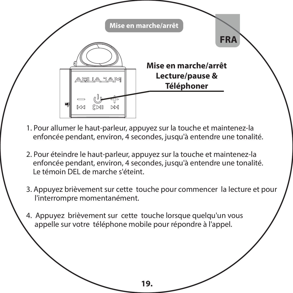

- 1. Pour allumer le haut-parleur, appuyez sur la touche et maintenez-la enfoncée pendant, environ, 4 secondes, jusqu'à entendre une tonalité.
- 2. Pour éteindre le haut-parleur, appuyez sur la touche et maintenez-la enfoncée pendant, environ, 4 secondes, jusqu'à entendre une tonalité. Le témoin DEL de marche s'éteint.
- 3. Appuyez brièvement sur cette touche pour commencer la lecture et pour l'interrompre momentanément.
- 4. Appuyez brièvement sur cette touche lorsque quelqu'un vous appelle sur votre téléphone mobile pour répondre à l'appel.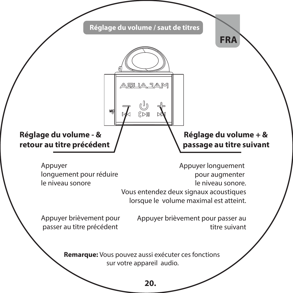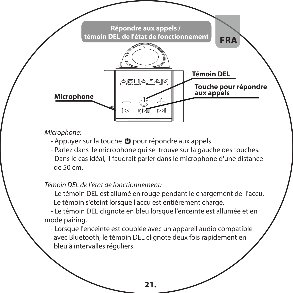

#### *Microphone:*

- Appuyez sur la touche **b** pour répondre aux appels.

- Parlez dans le microphone qui se trouve sur la gauche des touches.
- Dans le cas idéal, il faudrait parler dans le microphone d'une distance de 50 cm.

*Témoin DEL de l'état de fonctionnement:*

 - Le témoin DEL est allumé en rouge pendant le chargement de l'accu. Le témoin s'éteint lorsque l'accu est entièrement chargé.

 - Le témoin DEL clignote en bleu lorsque l'enceinte est allumée et en mode pairing.

 - Lorsque l'enceinte est couplée avec un appareil audio compatible avec Bluetooth, le témoin DEL clignote deux fois rapidement en bleu à intervalles réguliers.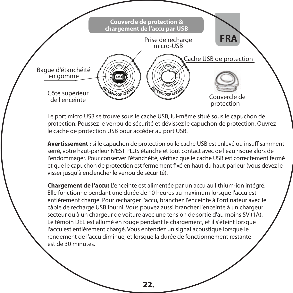

Le port micro USB se trouve sous le cache USB, lui-même situé sous le capuchon de protection. Poussez le verrou de sécurité et dévissez le capuchon de protection. Ouvrez le cache de protection USB pour accéder au port USB.

Avertissement : si le capuchon de protection ou le cache USB est enlevé ou insuffisamment serré, votre haut-parleur N'EST PLUS étanche et tout contact avec de l'eau risque alors de l'endommager. Pour conserver l'étanchéité, vériez que le cache USB est correctement fermé et que le capuchon de protection est fermement fixé en haut du haut-parleur (vous devez le visser jusqu'à enclencher le verrou de sécurité).

**Chargement de l'accu:** L'enceinte est alimentée par un accu au lithium-ion intégré. Elle fonctionne pendant une durée de 10 heures au maximum lorsque l'accu est entièrement chargé. Pour recharger l'accu, branchez l'enceinte à l'ordinateur avec le câble de recharge USB fourni. Vous pouvez aussi brancher l'enceinte à un chargeur secteur ou à un chargeur de voiture avec une tension de sortie d'au moins 5V (1A). Le témoin DEL est allumé en rouge pendant le chargement, et il s'éteint lorsque l'accu est entièrement chargé. Vous entendez un signal acoustique lorsque le rendement de l'accu diminue, et lorsque la durée de fonctionnement restante est de 30 minutes.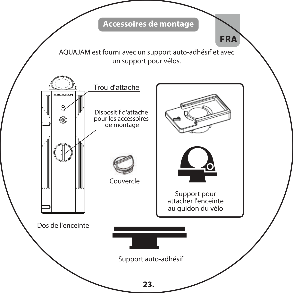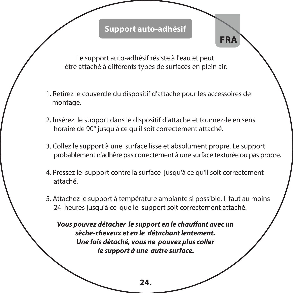# **Support auto-adhésif**

 **FRA**

Le support auto-adhésif résiste à l'eau et peut être attaché à différents types de surfaces en plein air.

- 1. Retirez le couvercle du dispositif d'attache pour les accessoires de montage.
- 2. Insérez le support dans le dispositif d'attache et tournez-le en sens horaire de 90° jusqu'à ce qu'il soit correctement attaché.
- 3. Collez le support à une surface lisse et absolument propre. Le support probablement n'adhère pas correctement à une surface texturée ou pas propre.
- 4. Pressez le support contre la surface jusqu'à ce qu'il soit correctement attaché.
- 5. Attachez le support à température ambiante si possible. Il faut au moins 24 heures jusqu'à ce que le support soit correctement attaché.

*Vous pouvez détacher le support en le chauffant avec un sèche-cheveux et en le détachant lentement. Une fois détaché, vous ne pouvez plus coller le support à une autre surface.*

**24.**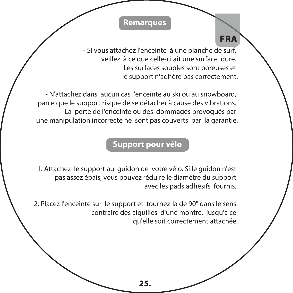# **Remarques**

- Si vous attachez l'enceinte à une planche de surf, veillez à ce que celle-ci ait une surface dure. Les surfaces souples sont poreuses et le support n'adhère pas correctement.

 **FRA**

- N'attachez dans aucun cas l'enceinte au ski ou au snowboard, parce que le support risque de se détacher à cause des vibrations. La perte de l'enceinte ou des dommages provoqués par une manipulation incorrecte ne sont pas couverts par la garantie.

# **Support pour vélo**

1. Attachez le support au guidon de votre vélo. Si le guidon n'est pas assez épais, vous pouvez réduire le diamètre du support avec les pads adhésifs fournis.

2. Placez l'enceinte sur le support et tournez-la de 90° dans le sens contraire des aiguilles d'une montre, jusqu'à ce qu'elle soit correctement attachée.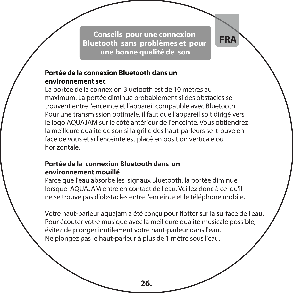**Conseils pour une connexion Bluetooth sans problèmes et pour une bonne qualité de son**

 **FRA**

#### **Portée de la connexion Bluetooth dans un environnement sec**

La portée de la connexion Bluetooth est de 10 mètres au maximum. La portée diminue probablement si des obstacles se trouvent entre l'enceinte et l'appareil compatible avec Bluetooth. Pour une transmission optimale, il faut que l'appareil soit dirigé vers le logo AQUAJAM sur le côté antérieur de l'enceinte. Vous obtiendrez la meilleure qualité de son si la grille des haut-parleurs se trouve en face de vous et si l'enceinte est placé en position verticale ou horizontale.

#### **Portée de la connexion Bluetooth dans un environnement mouillé**

Parce que l'eau absorbe les signaux Bluetooth, la portée diminue lorsque AQUAJAM entre en contact de l'eau. Veillez donc à ce qu'il ne se trouve pas d'obstacles entre l'enceinte et le téléphone mobile.

Votre haut-parleur aquajam a été conçu pour flotter sur la surface de l'eau. Pour écouter votre musique avec la meilleure qualité musicale possible, évitez de plonger inutilement votre haut-parleur dans l'eau. Ne plongez pas le haut-parleur à plus de 1 mètre sous l'eau.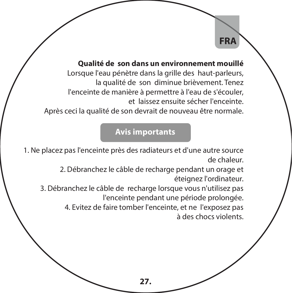# **FRA**

#### **Qualité de son dans un environnement mouillé**

Lorsque l'eau pénètre dans la grille des haut-parleurs, la qualité de son diminue brièvement. Tenez l'enceinte de manière à permettre à l'eau de s'écouler, et laissez ensuite sécher l'enceinte.

Après ceci la qualité de son devrait de nouveau être normale.

# **Avis importants**

1. Ne placez pas l'enceinte près des radiateurs et d'une autre source de chaleur.

> 2. Débranchez le câble de recharge pendant un orage et éteignez l'ordinateur.

3. Débranchez le câble de recharge lorsque vous n'utilisez pas l'enceinte pendant une période prolongée.

> 4. Evitez de faire tomber l'enceinte, et ne l'exposez pas à des chocs violents.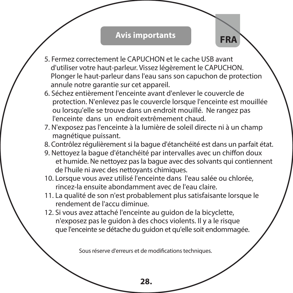# **Avis importants**

5. Fermez correctement le CAPUCHON et le cache USB avant d'utiliser votre haut-parleur. Vissez légèrement le CAPUCHON. Plonger le haut-parleur dans l'eau sans son capuchon de protection annule notre garantie sur cet appareil.

**FRA**

- 6. Séchez entièrement l'enceinte avant d'enlever le couvercle de protection. N'enlevez pas le couvercle lorsque l'enceinte est mouillée ou lorsqu'elle se trouve dans un endroit mouillé. Ne rangez pas l'enceinte dans un endroit extrêmement chaud.
- 7. N'exposez pas l'enceinte à la lumière de soleil directe ni à un champ magnétique puissant.
- 8. Contrôlez régulièrement si la bague d'étanchéité est dans un parfait état.
- 9. Nettoyez la bague d'étanchéité par intervalles avec un chiffon doux et humide. Ne nettoyez pas la bague avec des solvants qui contiennent de l'huile ni avec des nettoyants chimiques.
- 10. Lorsque vous avez utilisé l'enceinte dans l'eau salée ou chlorée, rincez-la ensuite abondamment avec de l'eau claire.
- 11. La qualité de son n'est probablement plus satisfaisante lorsque le rendement de l'accu diminue.
- 12. Si vous avez attaché l'enceinte au guidon de la bicyclette, n'exposez pas le guidon à des chocs violents. Il y a le risque que l'enceinte se détache du guidon et qu'elle soit endommagée.

Sous réserve d'erreurs et de modifications techniques.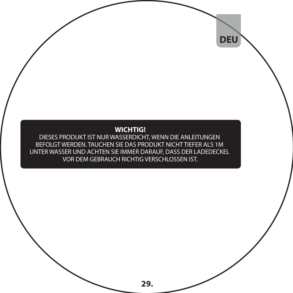#### **WICHTIG!**

 **DEU**

DIESES PRODUKT IST NUR WASSERDICHT, WENN DIE ANLEITUNGEN BEFOLGT WERDEN. TAUCHEN SIE DAS PRODUKT NICHT TIEFER ALS 1M UNTER WASSER UND ACHTEN SIE IMMER DARAUF, DASS DER LADEDECKEL VOR DEM GEBRAUCH RICHTIG VERSCHLOSSEN IST.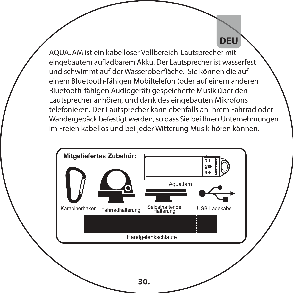AQUAJAM ist ein kabelloser Vollbereich-Lautsprecher mit eingebautem aufladbarem Akku. Der Lautsprecher ist wasserfest und schwimmt auf der Wasseroberäche. Sie können die auf einem Bluetooth-fähigen Mobiltelefon (oder auf einem anderen Bluetooth-fähigen Audiogerät) gespeicherte Musik über den Lautsprecher anhören, und dank des eingebauten Mikrofons telefonieren. Der Lautsprecher kann ebenfalls an Ihrem Fahrrad oder Wandergepäck befestigt werden, so dass Sie bei Ihren Unternehmungen im Freien kabellos und bei jeder Witterung Musik hören können.

**DEU**

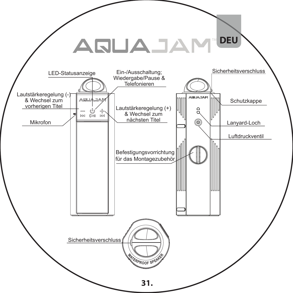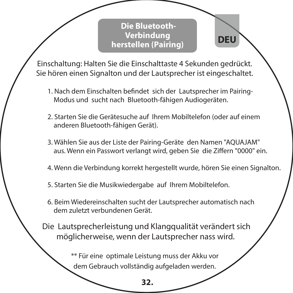**Die Bluetooth-Verbindung herstellen (Pairing) DEU**

Einschaltung: Halten Sie die Einschalttaste 4 Sekunden gedrückt. Sie hören einen Signalton und der Lautsprecher ist eingeschaltet.

- 1. Nach dem Einschalten befindet sich der Lautsprecher im Pairing-Modus und sucht nach Bluetooth-fähigen Audiogeräten.
- 2. Starten Sie die Gerätesuche auf Ihrem Mobiltelefon (oder auf einem anderen Bluetooth-fähigen Gerät).
- 3. Wählen Sie aus der Liste der Pairing-Geräte den Namen "AQUAJAM" aus. Wenn ein Passwort verlangt wird, geben Sie die Ziffern "0000" ein.
- 4. Wenn die Verbindung korrekt hergestellt wurde, hören Sie einen Signalton.
- 5. Starten Sie die Musikwiedergabe auf Ihrem Mobiltelefon.
- 6. Beim Wiedereinschalten sucht der Lautsprecher automatisch nach dem zuletzt verbundenen Gerät.
- Die Lautsprecherleistung und Klangqualität verändert sich möglicherweise, wenn der Lautsprecher nass wird.

\*\* Für eine optimale Leistung muss der Akku vor dem Gebrauch vollständig aufgeladen werden.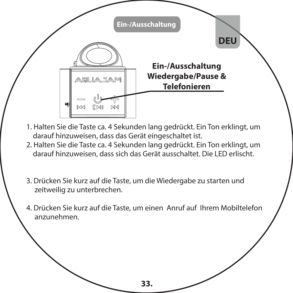

- 1. Halten Sie die Taste ca. 4 Sekunden lang gedrückt. Ein Ton erklingt, um darauf hinzuweisen, dass das Gerät eingeschaltet ist.
- 2. Halten Sie die Taste ca. 4 Sekunden lang gedrückt. Ein Ton erklingt, um darauf hinzuweisen, dass sich das Gerät ausschaltet. Die LED erlischt.
- 3. Drücken Sie kurz auf die Taste, um die Wiedergabe zu starten und zeitweilig zu unterbrechen.
- 4. Drücken Sie kurz auf die Taste, um einen Anruf auf Ihrem Mobiltelefon anzunehmen.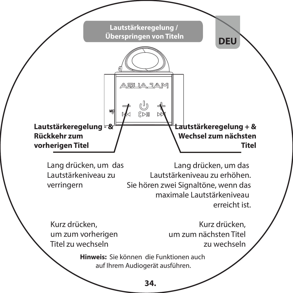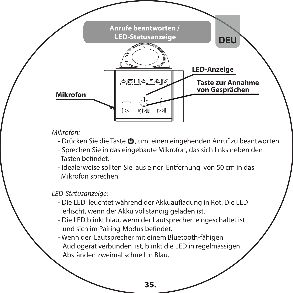

#### *Mikrofon:*

- Drücken Sie die Taste  $\bullet$ . um einen eingehenden Anruf zu beantworten.
- Sprechen Sie in das eingebaute Mikrofon, das sich links neben den Tasten befindet
- Idealerweise sollten Sie aus einer Entfernung von 50 cm in das Mikrofon sprechen.

#### *LED-Statusanzeige:*

- Die LED leuchtet während der Akkuaufladung in Rot. Die LED erlischt, wenn der Akku vollständig geladen ist.
- Die LED blinkt blau, wenn der Lautsprecher eingeschaltet ist und sich im Pairing-Modus befindet.
- Wenn der Lautsprecher mit einem Bluetooth-fähigen Audiogerät verbunden ist, blinkt die LED in regelmässigen Abständen zweimal schnell in Blau.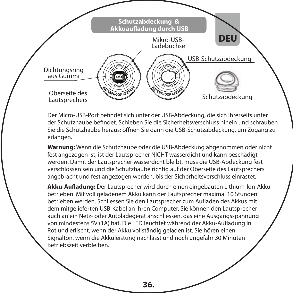

Der Micro-USB-Port befindet sich unter der USB-Abdeckung, die sich ihrerseits unter der Schutzhaube bendet. Schieben Sie die Sicherheitsverschluss hinein und schrauben Sie die Schutzhaube heraus; öffnen Sie dann die USB-Schutzabdeckung, um Zugang zu erlangen.

**Warnung:** Wenn die Schutzhaube oder die USB-Abdeckung abgenommen oder nicht fest angezogen ist, ist der Lautsprecher NICHT wasserdicht und kann beschädigt werden. Damit der Lautsprecher wasserdicht bleibt, muss die USB-Abdeckung fest verschlossen sein und die Schutzhaube richtig auf der Oberseite des Lautsprechers angebracht und fest angezogen werden, bis der Sicherheitsverschluss einrastet.

**Akku-Auadung:** Der Lautsprecher wird durch einen eingebauten Lithium-Ion-Akku betrieben. Mit voll geladenem Akku kann der Lautsprecher maximal 10 Stunden betrieben werden. Schliessen Sie den Lautsprecher zum Aufladen des Akkus mit dem mitgelieferten USB-Kabel an Ihren Computer. Sie können den Lautsprecher auch an ein Netz- oder Autoladegerät anschliessen, das eine Ausgangsspannung von mindestens 5V (1A) hat. Die LED leuchtet während der Akku-Aufladung in Rot und erlischt, wenn der Akku vollständig geladen ist. Sie hören einen Signalton, wenn die Akkuleistung nachlässt und noch ungefähr 30 Minuten Betriebszeit verbleiben.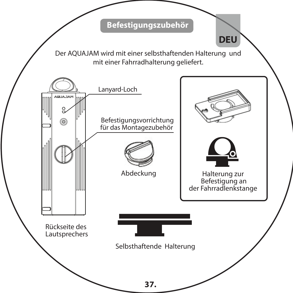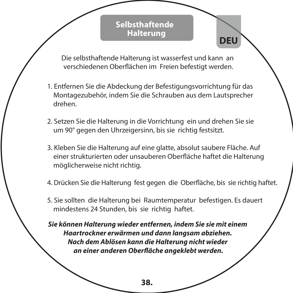#### **Selbsthaftende Halterung**

Die selbsthaftende Halterung ist wasserfest und kann an verschiedenen Oberächen im Freien befestigt werden.

**DEU**

- 1. Entfernen Sie die Abdeckung der Befestigungsvorrichtung für das Montagezubehör, indem Sie die Schrauben aus dem Lautsprecher drehen.
- 2. Setzen Sie die Halterung in die Vorrichtung ein und drehen Sie sie um 90° gegen den Uhrzeigersinn, bis sie richtig festsitzt.
- 3. Kleben Sie die Halterung auf eine glatte, absolut saubere Fläche. Auf einer strukturierten oder unsauberen Oberäche haftet die Halterung möglicherweise nicht richtig.
- 4. Drücken Sie die Halterung fest gegen die Oberäche, bis sie richtig haftet.
- 5. Sie sollten die Halterung bei Raumtemperatur befestigen. Es dauert mindestens 24 Stunden, bis sie richtig haftet.

*Sie können Halterung wieder entfernen, indem Sie sie mit einem Haartrockner erwärmen und dann langsam abziehen. Nach dem Ablösen kann die Halterung nicht wieder an einer anderen Oberäche angeklebt werden.*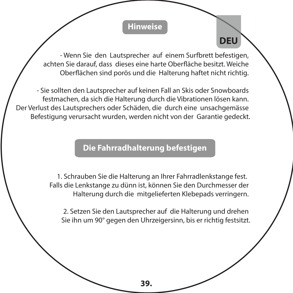### **Hinweise**

**DEU**

- Wenn Sie den Lautsprecher auf einem Surfbrett befestigen, achten Sie darauf, dass dieses eine harte Oberäche besitzt. Weiche Oberächen sind porös und die Halterung haftet nicht richtig.

- Sie sollten den Lautsprecher auf keinen Fall an Skis oder Snowboards festmachen, da sich die Halterung durch die Vibrationen lösen kann. Der Verlust des Lautsprechers oder Schäden, die durch eine unsachgemässe Befestigung verursacht wurden, werden nicht von der Garantie gedeckt.

# **Die Fahrradhalterung befestigen**

 1. Schrauben Sie die Halterung an Ihrer Fahrradlenkstange fest. Falls die Lenkstange zu dünn ist, können Sie den Durchmesser der Halterung durch die mitgelieferten Klebepads verringern.

2. Setzen Sie den Lautsprecher auf die Halterung und drehen Sie ihn um 90° gegen den Uhrzeigersinn, bis er richtig festsitzt.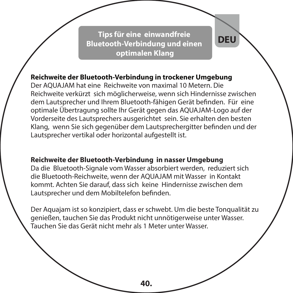**Tips für eine einwandfreie Bluetooth-Verbindung und einen optimalen Klang**

**DEU**

#### **Reichweite der Bluetooth-Verbindung in trockener Umgebung**

Der AQUAJAM hat eine Reichweite von maximal 10 Metern. Die Reichweite verkürzt sich möglicherweise, wenn sich Hindernisse zwischen dem Lautsprecher und Ihrem Bluetooth-fähigen Gerät befinden. Für eine optimale Übertragung sollte Ihr Gerät gegen das AQUAJAM-Logo auf der Vorderseite des Lautsprechers ausgerichtet sein. Sie erhalten den besten Klang, wenn Sie sich gegenüber dem Lautsprechergitter befinden und der Lautsprecher vertikal oder horizontal aufgestellt ist.

#### **Reichweite der Bluetooth-Verbindung in nasser Umgebung**

Da die Bluetooth-Signale vom Wasser absorbiert werden, reduziert sich die Bluetooth-Reichweite, wenn der AQUAJAM mit Wasser in Kontakt kommt. Achten Sie darauf, dass sich keine Hindernisse zwischen dem Lautsprecher und dem Mobiltelefon befinden.

Der Aquajam ist so konzipiert, dass er schwebt. Um die beste Tonqualität zu genießen, tauchen Sie das Produkt nicht unnötigerweise unter Wasser. Tauchen Sie das Gerät nicht mehr als 1 Meter unter Wasser.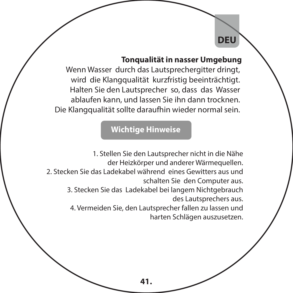#### **Tonqualität in nasser Umgebung**

**DEU**

Wenn Wasser durch das Lautsprechergitter dringt, wird die Klangqualität kurzfristig beeinträchtigt. Halten Sie den Lautsprecher so, dass das Wasser ablaufen kann, und lassen Sie ihn dann trocknen. Die Klangqualität sollte daraufhin wieder normal sein.

# **Wichtige Hinweise**

1. Stellen Sie den Lautsprecher nicht in die Nähe der Heizkörper und anderer Wärmequellen. 2. Stecken Sie das Ladekabel während eines Gewitters aus und schalten Sie den Computer aus. 3. Stecken Sie das Ladekabel bei langem Nichtgebrauch des Lautsprechers aus. 4. Vermeiden Sie, den Lautsprecher fallen zu lassen und harten Schlägen auszusetzen.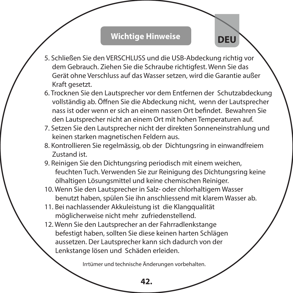# **Wichtige Hinweise**

**DEU**

- 5. Schließen Sie den VERSCHLUSS und die USB-Abdeckung richtig vor dem Gebrauch. Ziehen Sie die Schraube richtigfest. Wenn Sie das Gerät ohne Verschluss auf das Wasser setzen, wird die Garantie außer Kraft gesetzt.
- 6. Trocknen Sie den Lautsprecher vor dem Entfernen der Schutzabdeckung vollständig ab. Öffnen Sie die Abdeckung nicht, wenn der Lautsprecher nass ist oder wenn er sich an einem nassen Ort bendet. Bewahren Sie den Lautsprecher nicht an einem Ort mit hohen Temperaturen auf.
- 7. Setzen Sie den Lautsprecher nicht der direkten Sonneneinstrahlung und keinen starken magnetischen Feldern aus.
- 8. Kontrollieren Sie regelmässig, ob der Dichtungsring in einwandfreiem Zustand ist.
- 9. Reinigen Sie den Dichtungsring periodisch mit einem weichen, feuchten Tuch. Verwenden Sie zur Reinigung des Dichtungsring keine ölhaltigen Lösungsmittel und keine chemischen Reiniger.
- 10. Wenn Sie den Lautsprecher in Salz- oder chlorhaltigem Wasser benutzt haben, spülen Sie ihn anschliessend mit klarem Wasser ab.
- 11. Bei nachlassender Akkuleistung ist die Klangqualität möglicherweise nicht mehr zufriedenstellend.
- 12. Wenn Sie den Lautsprecher an der Fahrradlenkstange befestigt haben, sollten Sie diese keinen harten Schlägen aussetzen. Der Lautsprecher kann sich dadurch von der Lenkstange lösen und Schäden erleiden.

**42.** Irrtümer und technische Änderungen vorbehalten.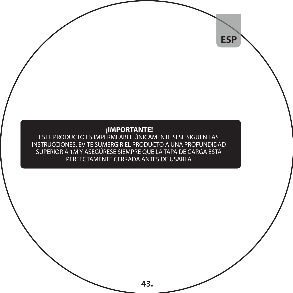**ESP**

**¡IMPORTANTE!** ESTE PRODUCTO ES IMPERMEABLE ÚNICAMENTE SI SE SIGUEN LAS INSTRUCCIONES. EVITE SUMERGIR EL PRODUCTO A UNA PROFUNDIDAD SUPERIOR A 1M Y ASEGÚRESE SIEMPRE QUE LA TAPA DE CARGA ESTÁ PERFECTAMENTE CERRADA ANTES DE USARLA.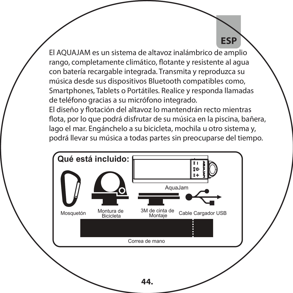**ESP**

El AQUAJAM es un sistema de altavoz inalámbrico de amplio rango, completamente climático, flotante y resistente al agua con batería recargable integrada. Transmita y reproduzca su música desde sus dispositivos Bluetooth compatibles como, Smartphones, Tablets o Portátiles. Realice y responda llamadas de teléfono gracias a su micrófono integrado.

El diseño y flotación del altavoz lo mantendrán recto mientras flota, por lo que podrá disfrutar de su música en la piscina, bañera, lago el mar. Engánchelo a su bicicleta, mochila u otro sistema y, podrá llevar su música a todas partes sin preocuparse del tiempo.

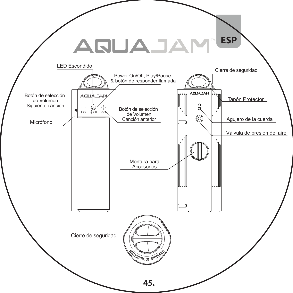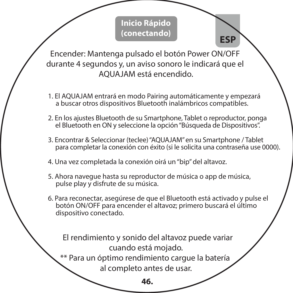# **Inicio Rápido (conectando)**

 **ESP**

Encender: Mantenga pulsado el botón Power ON/OFF durante 4 segundos y, un aviso sonoro le indicará que el AQUAJAM está encendido.

- 1. El AQUAJAM entrará en modo Pairing automáticamente y empezará a buscar otros dispositivos Bluetooth inalámbricos compatibles.
- 2. En los ajustes Bluetooth de su Smartphone, Tablet o reproductor, ponga el Bluetooth en ON y seleccione la opción "Búsqueda de Dispositivos".
- 3. Encontrar & Seleccionar (teclee) "AQUAJAM" en su Smartphone / Tablet para completar la conexión con éxito (si le solicita una contraseña use 0000).
- 4. Una vez completada la conexión oirá un "bip" del altavoz.
- 5. Ahora navegue hasta su reproductor de música o app de música, pulse play y disfrute de su música.
- 6. Para reconectar, asegúrese de que el Bluetooth está activado y pulse el botón ON/OFF para encender el altavoz; primero buscará el último dispositivo conectado.

 El rendimiento y sonido del altavoz puede variar cuando está mojado.

\*\* Para un óptimo rendimiento cargue la batería al completo antes de usar.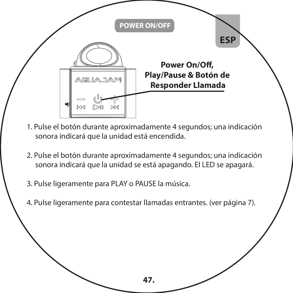

- 1. Pulse el botón durante aproximadamente 4 segundos; una indicación sonora indicará que la unidad está encendida.
- 2. Pulse el botón durante aproximadamente 4 segundos; una indicación sonora indicará que la unidad se está apagando. El LED se apagará.
- 3. Pulse ligeramente para PLAY o PAUSE la música.
- 4. Pulse ligeramente para contestar llamadas entrantes. (ver página 7).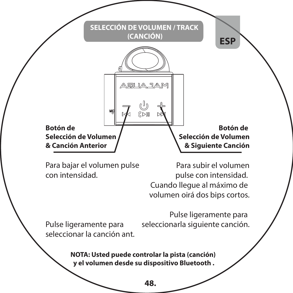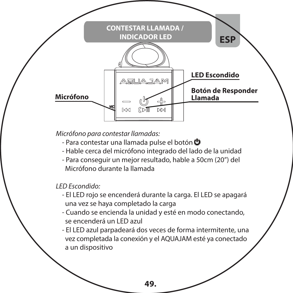

*Micrófono para contestar llamadas:*

- Para contestar una llamada pulse el botón **O**
- Hable cerca del micrófono integrado del lado de la unidad
- Para conseguir un mejor resultado, hable a 50cm (20") del Micrófono durante la llamada

*LED Escondido:*

- El LED rojo se encenderá durante la carga. El LED se apagará una vez se haya completado la carga
- Cuando se encienda la unidad y esté en modo conectando, se encenderá un LED azul
- El LED azul parpadeará dos veces de forma intermitente, una vez completada la conexión y el AQUAJAM esté ya conectado a un dispositivo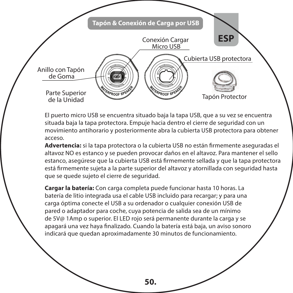

El puerto micro USB se encuentra situado baja la tapa USB, que a su vez se encuentra situada baja la tapa protectora. Empuje hacia dentro el cierre de seguridad con un movimiento antihorario y posteriormente abra la cubierta USB protectora para obtener acceso.

Advertencia: si la tapa protectora o la cubierta USB no están firmemente aseguradas el altavoz NO es estanco y se pueden provocar daños en el altavoz. Para mantener el sello estanco, asegúrese que la cubierta USB está firmemente sellada y que la tapa protectora está firmemente sujeta a la parte superior del altavoz y atornillada con seguridad hasta que se quede sujeto el cierre de seguridad.

**Cargar la batería:** Con carga completa puede funcionar hasta 10 horas. La batería de litio integrada usa el cable USB incluido para recargar; y para una carga óptima conecte el USB a su ordenador o cualquier conexión USB de pared o adaptador para coche, cuya potencia de salida sea de un mínimo de 5V@ 1Amp o superior. El LED rojo será permanente durante la carga y se apagará una vez haya finalizado. Cuando la batería está baja, un aviso sonoro indicará que quedan aproximadamente 30 minutos de funcionamiento.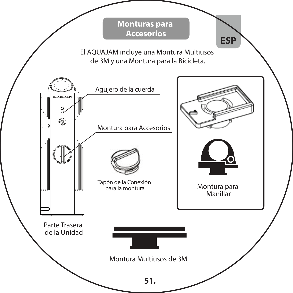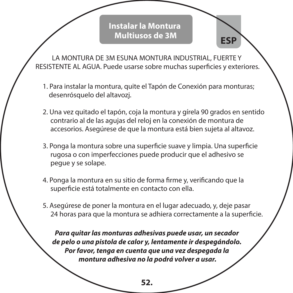## **Instalar la Montura Multiusos de 3M**

**ESP**

LA MONTURA DE 3M ESUNA MONTURA INDUSTRIAL, FUERTE Y RESISTENTE AL AGUA. Puede usarse sobre muchas superficies y exteriores.

- 1. Para instalar la montura, quite el Tapón de Conexión para monturas; desenrósquelo del altavozj.
- 2. Una vez quitado el tapón, coja la montura y gírela 90 grados en sentido contrario al de las agujas del reloj en la conexión de montura de accesorios. Asegúrese de que la montura está bien sujeta al altavoz.
- 3. Ponga la montura sobre una superficie suave y limpia. Una superficie rugosa o con imperfecciones puede producir que el adhesivo se pegue y se solape.
- 4. Ponga la montura en su sitio de forma firme y, verificando que la superficie está totalmente en contacto con ella.
- 5. Asegúrese de poner la montura en el lugar adecuado, y, deje pasar 24 horas para que la montura se adhiera correctamente a la superficie.

*Para quitar las monturas adhesivas puede usar, un secador de pelo o una pistola de calor y, lentamente ir despegándolo. Por favor, tenga en cuenta que una vez despegada la montura adhesiva no la podrá volver a usar.*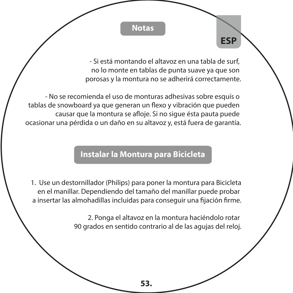**Notas**

- Si está montando el altavoz en una tabla de surf, no lo monte en tablas de punta suave ya que son porosas y la montura no se adherirá correctamente.

**ESP**

- No se recomienda el uso de monturas adhesivas sobre esquís o tablas de snowboard ya que generan un flexo y vibración que pueden causar que la montura se afloje. Si no sigue ésta pauta puede ocasionar una pérdida o un daño en su altavoz y, está fuera de garantía.

# **Die Fahrradhalterung befestigen Instalar la Montura para Bicicleta**

1. Use un destornillador (Philips) para poner la montura para Bicicleta en el manillar. Dependiendo del tamaño del manillar puede probar a insertar las almohadillas incluidas para conseguir una fijación firme.

> 2. Ponga el altavoz en la montura haciéndolo rotar 90 grados en sentido contrario al de las agujas del reloj.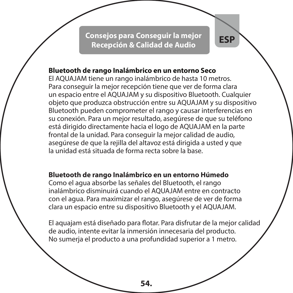**Consejos para Conseguir la mejor Recepción & Calidad de Audio** 

**ESP**

#### **Bluetooth de rango Inalámbrico en un entorno Seco**

El AQUAJAM tiene un rango inalámbrico de hasta 10 metros. Para conseguir la mejor recepción tiene que ver de forma clara un espacio entre el AQUAJAM y su dispositivo Bluetooth. Cualquier objeto que produzca obstrucción entre su AQUAJAM y su dispositivo Bluetooth pueden comprometer el rango y causar interferencias en su conexión. Para un mejor resultado, asegúrese de que su teléfono está dirigido directamente hacia el logo de AQUAJAM en la parte frontal de la unidad. Para conseguir la mejor calidad de audio, asegúrese de que la rejilla del altavoz está dirigida a usted y que la unidad está situada de forma recta sobre la base.

#### **Bluetooth de rango Inalámbrico en un entorno Húmedo**

Como el agua absorbe las señales del Bluetooth, el rango inalámbrico disminuirá cuando el AQUAJAM entre en contracto con el agua. Para maximizar el rango, asegúrese de ver de forma clara un espacio entre su dispositivo Bluetooth y el AQUAJAM.

El aquajam está diseñado para flotar. Para disfrutar de la mejor calidad de audio, intente evitar la inmersión innecesaria del producto. No sumerja el producto a una profundidad superior a 1 metro.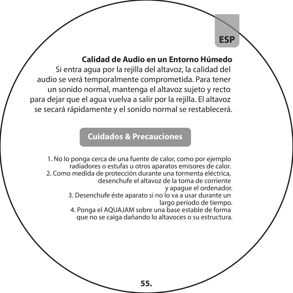#### **Calidad de Audio en un Entorno Húmedo**

**ESP**

Si entra agua por la rejilla del altavoz, la calidad del audio se verá temporalmente comprometida. Para tener un sonido normal, mantenga el altavoz sujeto y recto para dejar que el agua vuelva a salir por la rejilla. El altavoz se secará rápidamente y el sonido normal se restablecerá.

# **Cuidados & Precauciones**

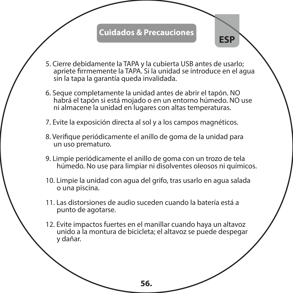#### **Cuidados & Precauciones**

**ESP**

- 5. Cierre debidamente la TAPA y la cubierta USB antes de usarlo; apriete firrmemente la TAPA. Si la unidad se introduce en el agua sin la tapa la garantía queda invalidada.
- 6. Seque completamente la unidad antes de abrir el tapón. NO habrá el tapón si está mojado o en un entorno húmedo. NO use ni almacene la unidad en lugares con altas temperaturas.
- 7. Evite la exposición directa al sol y a los campos magnéticos.
- 8. Verifique periódicamente el anillo de goma de la unidad para un uso prematuro.
- 9. Limpie periódicamente el anillo de goma con un trozo de tela húmedo. No use para limpiar ni disolventes oleosos ni químicos.
- 10. Limpie la unidad con agua del grifo, tras usarlo en agua salada o una piscina.
- 11. Las distorsiones de audio suceden cuando la batería está a punto de agotarse.
- 12. Evite impactos fuertes en el manillar cuando haya un altavoz unido a la montura de bicicleta; el altavoz se puede despegar y dañar.